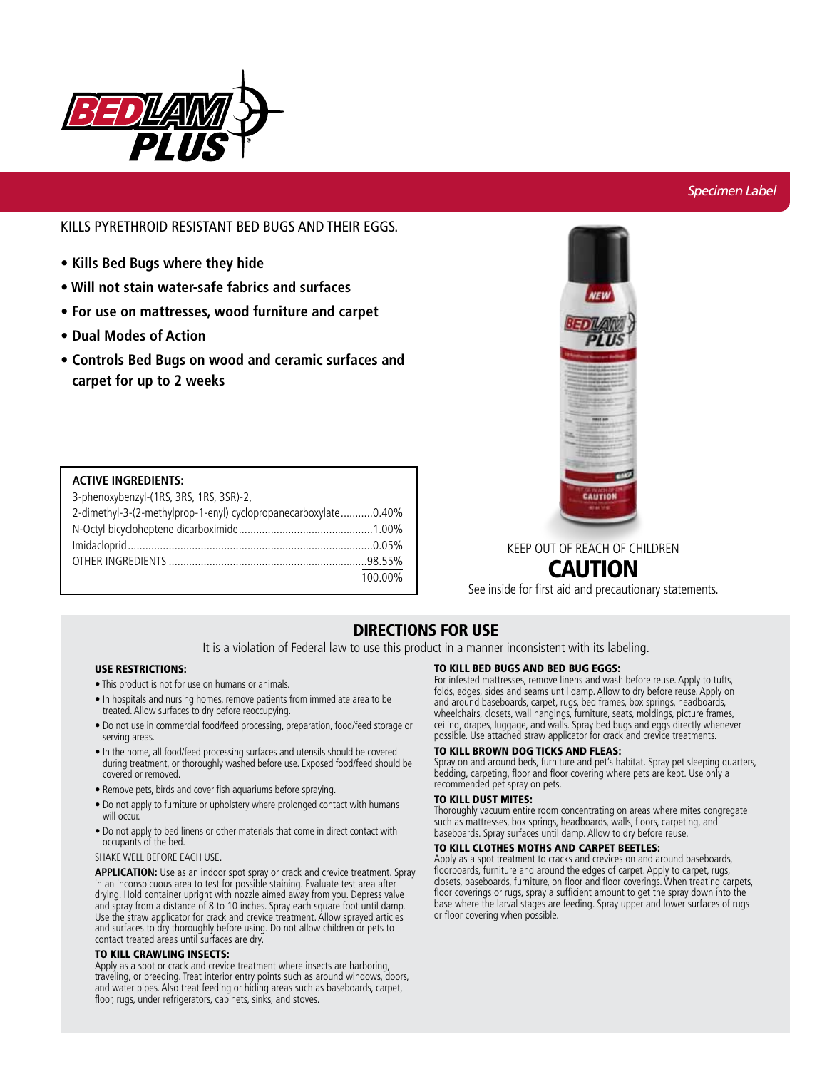

#### KILLS PYRETHROID RESISTANT BED BUGS AND THEIR EGGS.

- **Kills Bed Bugs where they hide**
- **Will not stain water-safe fabrics and surfaces**
- **For use on mattresses, wood furniture and carpet**
- **Dual Modes of Action**
- **Controls Bed Bugs on wood and ceramic surfaces and carpet for up to 2 weeks**

#### **ACTIVE INGREDIENTS:**

| 3-phenoxybenzyl-(1RS, 3RS, 1RS, 3SR)-2,                         |         |
|-----------------------------------------------------------------|---------|
| 2-dimethyl-3-(2-methylprop-1-enyl) cyclopropanecarboxylate0.40% |         |
|                                                                 |         |
|                                                                 |         |
|                                                                 |         |
|                                                                 | 100.00% |



# KEEP OUT OF REACH OF CHILDREN

## CAUTION

See inside for first aid and precautionary statements.

### DIRECTIONS FOR USE

It is a violation of Federal law to use this product in a manner inconsistent with its labeling.

#### USE RESTRICTIONS:

- This product is not for use on humans or animals.
- In hospitals and nursing homes, remove patients from immediate area to be treated. Allow surfaces to dry before reoccupying.
- Do not use in commercial food/feed processing, preparation, food/feed storage or serving areas.
- In the home, all food/feed processing surfaces and utensils should be covered during treatment, or thoroughly washed before use. Exposed food/feed should be covered or removed.
- Remove pets, birds and cover fish aquariums before spraying.
- Do not apply to furniture or upholstery where prolonged contact with humans will occur.
- Do not apply to bed linens or other materials that come in direct contact with occupants of the bed.

#### SHAKE WELL BEFORE EACH USE.

**APPLICATION:** Use as an indoor spot spray or crack and crevice treatment. Spray in an inconspicuous area to test for possible staining. Evaluate test area after drying. Hold container upright with nozzle aimed away from you. Depress valve and spray from a distance of 8 to 10 inches. Spray each square foot until damp. Use the straw applicator for crack and crevice treatment. Allow sprayed articles and surfaces to dry thoroughly before using. Do not allow children or pets to contact treated areas until surfaces are dry.

#### TO KILL crawling insects:

Apply as a spot or crack and crevice treatment where insects are harboring, traveling, or breeding. Treat interior entry points such as around windows, doors, and water pipes. Also treat feeding or hiding areas such as baseboards, carpet, floor, rugs, under refrigerators, cabinets, sinks, and stoves.

#### to kill bed bugs and bed bug eggs:

For infested mattresses, remove linens and wash before reuse. Apply to tufts, folds, edges, sides and seams until damp. Allow to dry before reuse. Apply on and around baseboards, carpet, rugs, bed frames, box springs, headboards, wheelchairs, closets, wall hangings, furniture, seats, moldings, picture frames, ceiling, drapes, luggage, and walls. Spray bed bugs and eggs directly whenever possible. Use attached straw applicator for crack and crevice treatments.

#### to kill brown dog ticks and fleas:

Spray on and around beds, furniture and pet's habitat. Spray pet sleeping quarters, bedding, carpeting, floor and floor covering where pets are kept. Use only a recommended pet spray on pets.

#### to kill dust mites:

Thoroughly vacuum entire room concentrating on areas where mites congregate such as mattresses, box springs, headboards, walls, floors, carpeting, and baseboards. Spray surfaces until damp. Allow to dry before reuse.

#### TO KILL CLOTHES MOTHS AND CARPET BEETLES:

Apply as a spot treatment to cracks and crevices on and around baseboards, floorboards, furniture and around the edges of carpet. Apply to carpet, rugs, closets, baseboards, furniture, on floor and floor coverings. When treating carpets, floor coverings or rugs, spray a sufficient amount to get the spray down into the base where the larval stages are feeding. Spray upper and lower surfaces of rugs or floor covering when possible.

#### *Specimen Label*